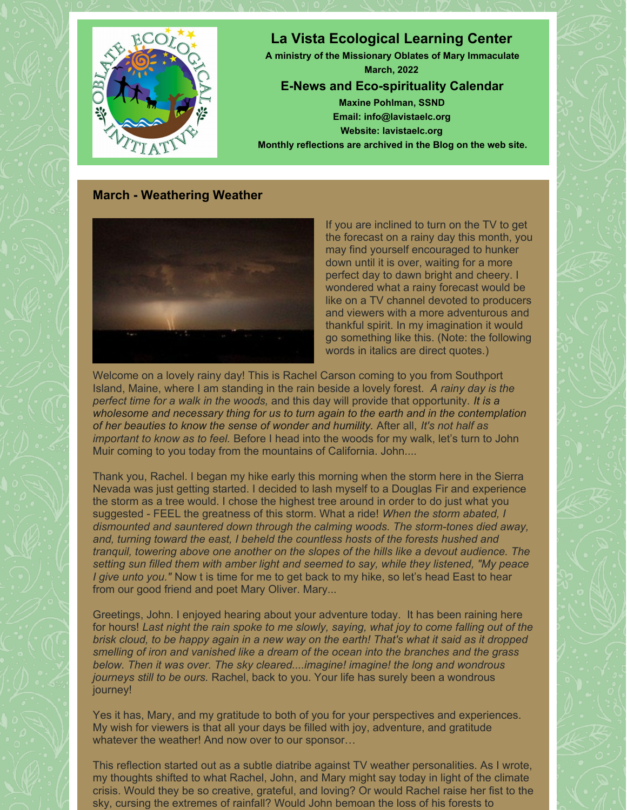

## **March - Weathering Weather**



If you are inclined to turn on the TV to get the forecast on a rainy day this month, you may find yourself encouraged to hunker down until it is over, waiting for a more perfect day to dawn bright and cheery. I wondered what a rainy forecast would be like on a TV channel devoted to producers and viewers with a more adventurous and thankful spirit. In my imagination it would go something like this. (Note: the following words in italics are direct quotes.)

Welcome on a lovely rainy day! This is Rachel Carson coming to you from Southport Island, Maine, where I am standing in the rain beside a lovely forest. *A rainy day is the perfect time for a walk in the woods,* and this day will provide that opportunity. *It is a wholesome and necessary thing for us to turn again to the earth and in the contemplation of her beauties to know the sense of wonder and humility.* After all, *It's not half as important to know as to feel.* Before I head into the woods for my walk, let's turn to John Muir coming to you today from the mountains of California. John....

Thank you, Rachel. I began my hike early this morning when the storm here in the Sierra Nevada was just getting started. I decided to lash myself to a Douglas Fir and experience the storm as a tree would. I chose the highest tree around in order to do just what you suggested - FEEL the greatness of this storm. What a ride! *When the storm abated, I dismounted and sauntered down through the calming woods. The storm-tones died away, and, turning toward the east, I beheld the countless hosts of the forests hushed and tranquil, towering above one another on the slopes of the hills like a devout audience. The setting sun filled them with amber light and seemed to say, while they listened, "My peace I give unto you."* Now t is time for me to get back to my hike, so let's head East to hear from our good friend and poet Mary Oliver. Mary...

Greetings, John. I enjoyed hearing about your adventure today. It has been raining here for hours! *Last night the rain spoke to me slowly, saying, what joy to come falling out of the* brisk cloud, to be happy again in a new way on the earth! That's what it said as it dropped *smelling of iron and vanished like a dream of the ocean into the branches and the grass below. Then it was over. The sky cleared....imagine! imagine! the long and wondrous journeys still to be ours.* Rachel, back to you. Your life has surely been a wondrous journey!

Yes it has, Mary, and my gratitude to both of you for your perspectives and experiences. My wish for viewers is that all your days be filled with joy, adventure, and gratitude whatever the weather! And now over to our sponsor…

This reflection started out as a subtle diatribe against TV weather personalities. As I wrote, my thoughts shifted to what Rachel, John, and Mary might say today in light of the climate crisis. Would they be so creative, grateful, and loving? Or would Rachel raise her fist to the sky, cursing the extremes of rainfall? Would John bemoan the loss of his forests to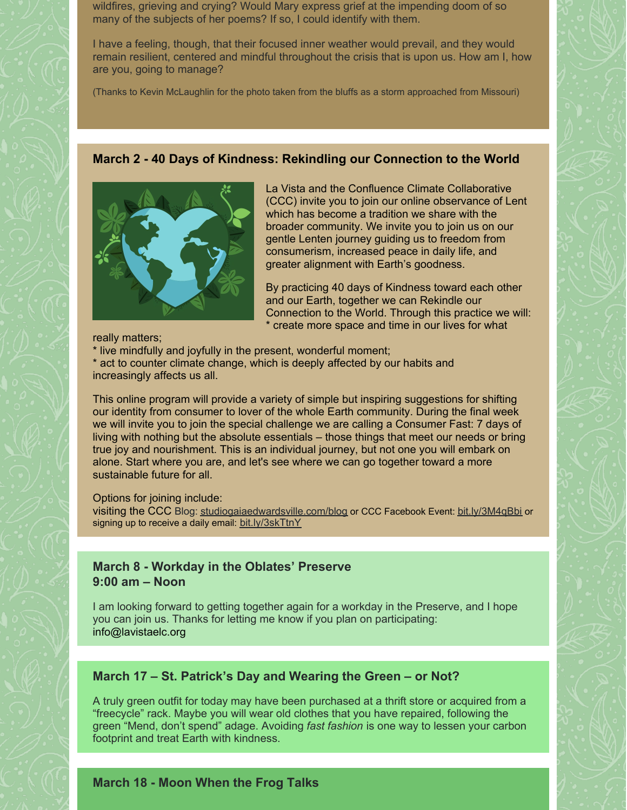wildfires, grieving and crying? Would Mary express grief at the impending doom of so many of the subjects of her poems? If so, I could identify with them.

I have a feeling, though, that their focused inner weather would prevail, and they would remain resilient, centered and mindful throughout the crisis that is upon us. How am I, how are you, going to manage?

(Thanks to Kevin McLaughlin for the photo taken from the bluffs as a storm approached from Missouri)

### **March 2 - 40 Days of Kindness: Rekindling our Connection to the World**



La Vista and the Confluence Climate Collaborative (CCC) invite you to join our online observance of Lent which has become a tradition we share with the broader community. We invite you to join us on our gentle Lenten journey guiding us to freedom from consumerism, increased peace in daily life, and greater alignment with Earth's goodness.

By practicing 40 days of Kindness toward each other and our Earth, together we can Rekindle our Connection to the World. Through this practice we will: \* create more space and time in our lives for what

really matters;

\* live mindfully and joyfully in the present, wonderful moment;

\* act to counter climate change, which is deeply affected by our habits and increasingly affects us all.

This online program will provide a variety of simple but inspiring suggestions for shifting our identity from consumer to lover of the whole Earth community. During the final week we will invite you to join the special challenge we are calling a Consumer Fast: 7 days of living with nothing but the absolute essentials – those things that meet our needs or bring true joy and nourishment. This is an individual journey, but not one you will embark on alone. Start where you are, and let's see where we can go together toward a more sustainable future for all.

#### Options for joining include:

visiting the CCC Blog: [studiogaiaedwardsville.com/blog](http://studiogaiaedwardsville.com/blog) or CCC Facebook Event: [bit.ly/3M4qBbi](http://bit.ly/3M4qBbi) or signing up to receive a daily email: [bit.ly/3skTtnY](http://bit.ly/3skTtnY)

### **March 8 - Workday in the Oblates' Preserve 9:00 am – Noon**

I am looking forward to getting together again for a workday in the Preserve, and I hope you can join us. Thanks for letting me know if you plan on participating: [info@lavistaelc.org](mailto:info@lavistaelc.org)

## **March 17 – St. Patrick's Day and Wearing the Green – or Not?**

A truly green outfit for today may have been purchased at a thrift store or acquired from a "freecycle" rack. Maybe you will wear old clothes that you have repaired, following the green "Mend, don't spend" adage. Avoiding *fast fashion* is one way to lessen your carbon footprint and treat Earth with kindness.

# **March 18 - Moon When the Frog Talks**